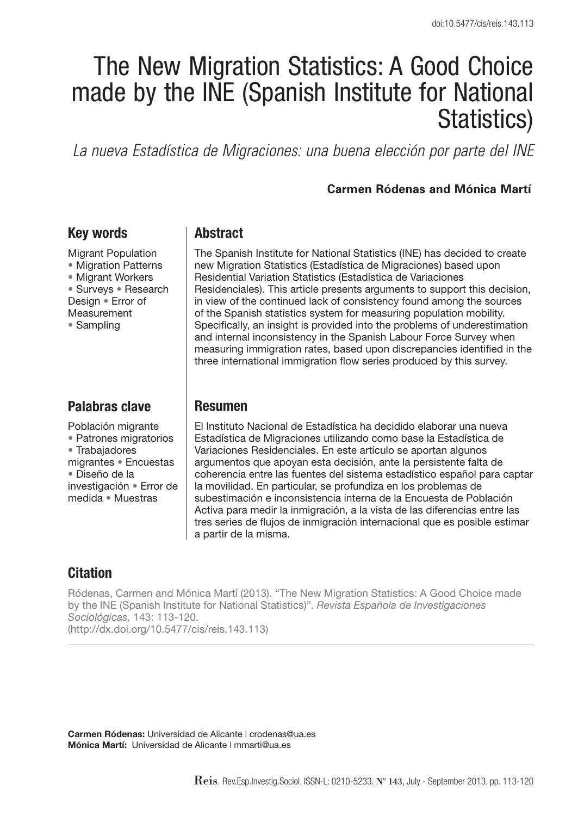# The New Migration Statistics: A Good Choice made by the INE (Spanish Institute for National Statistics)

*La nueva Estadística de Migraciones: una buena elección por parte del INE*

#### **Carmen Ródenas and Mónica Martí**

## **Key words**

Migrant Population • Migration Patterns • Migrant Workers • Surveys • Research Design • Error of Measurement • Sampling

## **Palabras clave**

Población migrante • Patrones migratorios • Trabajadores migrantes • Encuestas • Diseño de la investigación • Error de medida • Muestras

## **Abstract**

The Spanish Institute for National Statistics (INE) has decided to create new Migration Statistics (Estadística de Migraciones) based upon Residential Variation Statistics (Estadística de Variaciones Residenciales). This article presents arguments to support this decision, in view of the continued lack of consistency found among the sources of the Spanish statistics system for measuring population mobility. Specifically, an insight is provided into the problems of underestimation and internal inconsistency in the Spanish Labour Force Survey when measuring immigration rates, based upon discrepancies identified in the three international immigration flow series produced by this survey.

#### **Resumen**

El Instituto Nacional de Estadística ha decidido elaborar una nueva Estadística de Migraciones utilizando como base la Estadística de Variaciones Residenciales. En este artículo se aportan algunos argumentos que apoyan esta decisión, ante la persistente falta de coherencia entre las fuentes del sistema estadístico español para captar la movilidad. En particular, se profundiza en los problemas de subestimación e inconsistencia interna de la Encuesta de Población Activa para medir la inmigración, a la vista de las diferencias entre las tres series de flujos de inmigración internacional que es posible estimar a partir de la misma.

## **Citation**

Ródenas, Carmen and Mónica Martí (2013). "The New Migration Statistics: A Good Choice made by the INE (Spanish Institute for National Statistics)". *Revista Española de Investigaciones Sociológicas,* 143: 113-120. (http://dx.doi.org/10.5477/cis/reis.143.113)

**Carmen Ródenas:** Universidad de Alicante | crodenas@ua.es **Mónica Martí:** Universidad de Alicante | mmarti@ua.es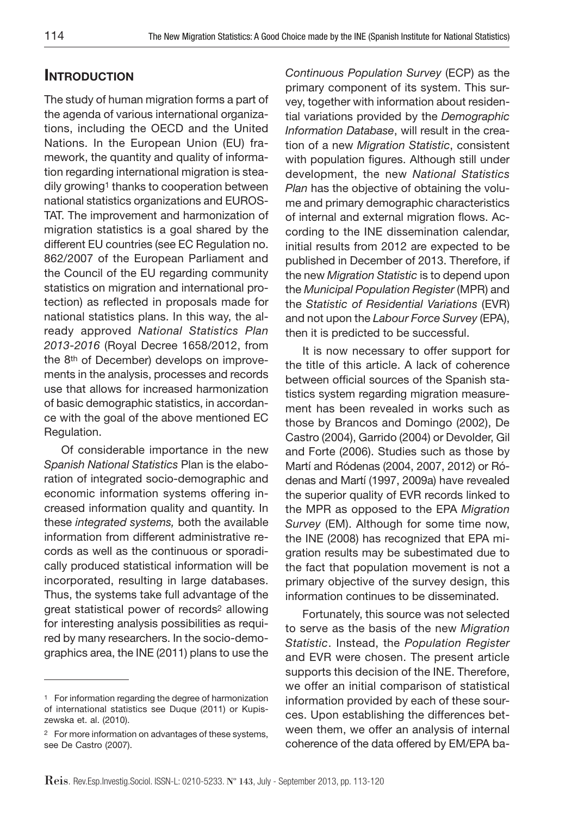## **Introduction**

The study of human migration forms a part of the agenda of various international organizations, including the OECD and the United Nations. In the European Union (EU) framework, the quantity and quality of information regarding international migration is steadily growing<sup>1</sup> thanks to cooperation between national statistics organizations and EUROS-TAT. The improvement and harmonization of migration statistics is a goal shared by the different EU countries (see EC Regulation no. 862/2007 of the European Parliament and the Council of the EU regarding community statistics on migration and international protection) as reflected in proposals made for national statistics plans. In this way, the already approved *National Statistics Plan 2013-2016* (Royal Decree 1658/2012, from the 8th of December) develops on improvements in the analysis, processes and records use that allows for increased harmonization of basic demographic statistics, in accordance with the goal of the above mentioned EC Regulation.

Of considerable importance in the new *Spanish National Statistics* Plan is the elaboration of integrated socio-demographic and economic information systems offering increased information quality and quantity. In these *integrated systems,* both the available information from different administrative records as well as the continuous or sporadically produced statistical information will be incorporated, resulting in large databases. Thus, the systems take full advantage of the great statistical power of records2 allowing for interesting analysis possibilities as required by many researchers. In the socio-demographics area, the INE (2011) plans to use the

*Continuous Population Survey* (ECP) as the primary component of its system. This survey, together with information about residential variations provided by the *Demographic Information Database*, will result in the creation of a new *Migration Statistic*, consistent with population figures. Although still under development, the new *National Statistics Plan* has the objective of obtaining the volume and primary demographic characteristics of internal and external migration flows. According to the INE dissemination calendar, initial results from 2012 are expected to be published in December of 2013. Therefore, if the new *Migration Statistic* is to depend upon the *Municipal Population Register* (MPR) and the *Statistic of Residential Variations* (EVR) and not upon the *Labour Force Survey* (EPA), then it is predicted to be successful.

It is now necessary to offer support for the title of this article. A lack of coherence between official sources of the Spanish statistics system regarding migration measurement has been revealed in works such as those by Brancos and Domingo (2002), De Castro (2004), Garrido (2004) or Devolder, Gil and Forte (2006). Studies such as those by Martí and Ródenas (2004, 2007, 2012) or Ródenas and Martí (1997, 2009a) have revealed the superior quality of EVR records linked to the MPR as opposed to the EPA *Migration Survey* (EM). Although for some time now, the INE (2008) has recognized that EPA migration results may be subestimated due to the fact that population movement is not a primary objective of the survey design, this information continues to be disseminated.

Fortunately, this source was not selected to serve as the basis of the new *Migration Statistic*. Instead, the *Population Register*  and EVR were chosen. The present article supports this decision of the INE. Therefore, we offer an initial comparison of statistical information provided by each of these sources. Upon establishing the differences between them, we offer an analysis of internal coherence of the data offered by EM/EPA ba-

<sup>1</sup> For information regarding the degree of harmonization of international statistics see Duque (2011) or Kupiszewska et. al. (2010).

<sup>2</sup> For more information on advantages of these systems, see De Castro (2007).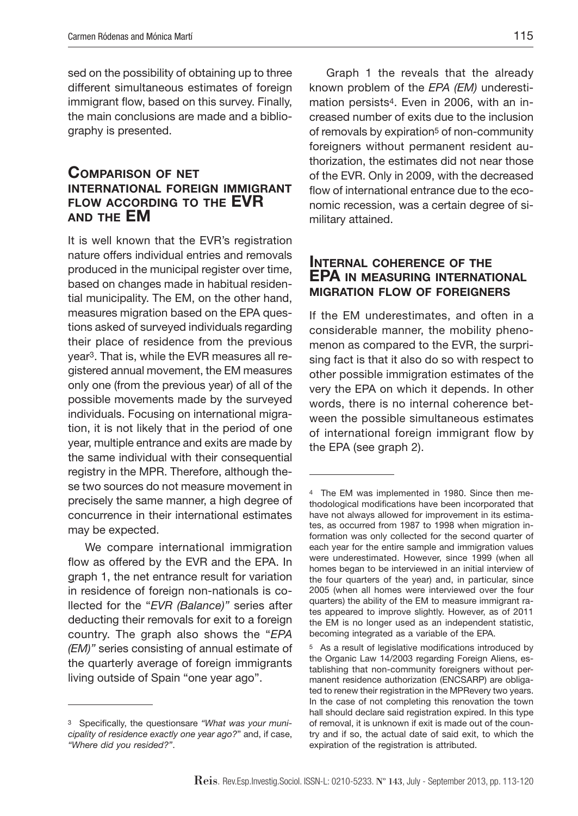sed on the possibility of obtaining up to three different simultaneous estimates of foreign immigrant flow, based on this survey. Finally, the main conclusions are made and a bibliography is presented.

#### **Comparison of net international foreign immigrant flow according to the EVR and the EM**

It is well known that the EVR's registration nature offers individual entries and removals produced in the municipal register over time, based on changes made in habitual residential municipality. The EM, on the other hand, measures migration based on the EPA questions asked of surveyed individuals regarding their place of residence from the previous year3. That is, while the EVR measures all registered annual movement, the EM measures only one (from the previous year) of all of the possible movements made by the surveyed individuals. Focusing on international migration, it is not likely that in the period of one year, multiple entrance and exits are made by the same individual with their consequential registry in the MPR. Therefore, although these two sources do not measure movement in precisely the same manner, a high degree of concurrence in their international estimates may be expected.

We compare international immigration flow as offered by the EVR and the EPA. In graph 1, the net entrance result for variation in residence of foreign non-nationals is collected for the "*EVR (Balance)"* series after deducting their removals for exit to a foreign country. The graph also shows the "*EPA (EM)"* series consisting of annual estimate of the quarterly average of foreign immigrants living outside of Spain "one year ago".

Graph 1 the reveals that the already known problem of the *EPA (EM)* underestimation persists4. Even in 2006, with an increased number of exits due to the inclusion of removals by expiration<sup>5</sup> of non-community foreigners without permanent resident authorization, the estimates did not near those of the EVR. Only in 2009, with the decreased flow of international entrance due to the economic recession, was a certain degree of similitary attained.

#### **Internal coherence of the EPA in measuring international migration flow of foreigners**

If the EM underestimates, and often in a considerable manner, the mobility phenomenon as compared to the EVR, the surprising fact is that it also do so with respect to other possible immigration estimates of the very the EPA on which it depends. In other words, there is no internal coherence between the possible simultaneous estimates of international foreign immigrant flow by the EPA (see graph 2).

<sup>3</sup> Specifically, the questionsare *"What was your municipality of residence exactly one year ago?*" and, if case, *"Where did you resided?"*.

<sup>4</sup> The EM was implemented in 1980. Since then methodological modifications have been incorporated that have not always allowed for improvement in its estimates, as occurred from 1987 to 1998 when migration information was only collected for the second quarter of each year for the entire sample and immigration values were underestimated. However, since 1999 (when all homes began to be interviewed in an initial interview of the four quarters of the year) and, in particular, since 2005 (when all homes were interviewed over the four quarters) the ability of the EM to measure immigrant rates appeared to improve slightly. However, as of 2011 the EM is no longer used as an independent statistic, becoming integrated as a variable of the EPA.

<sup>5</sup> As a result of legislative modifications introduced by the Organic Law 14/2003 regarding Foreign Aliens, establishing that non-community foreigners without permanent residence authorization (ENCSARP) are obligated to renew their registration in the MPRevery two years. In the case of not completing this renovation the town hall should declare said registration expired. In this type of removal, it is unknown if exit is made out of the country and if so, the actual date of said exit, to which the expiration of the registration is attributed.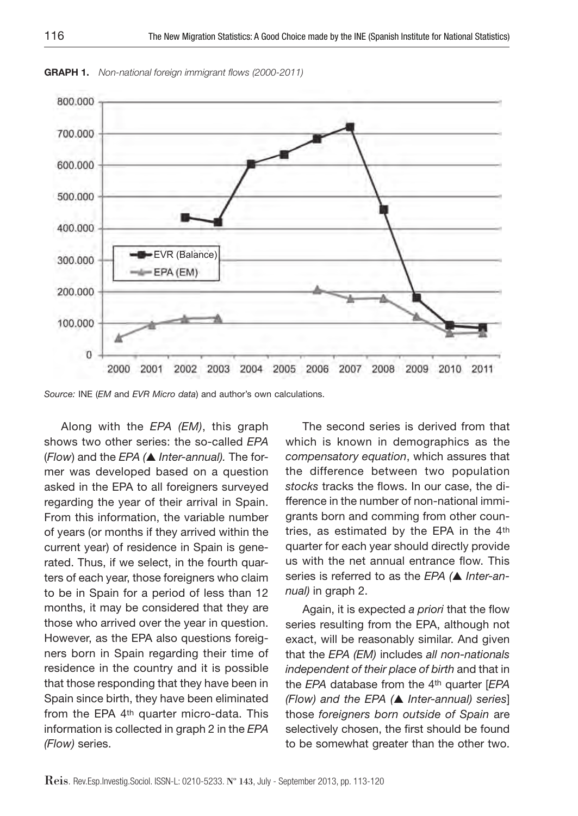

**Graph 1.** *Non-national foreign immigrant flows (2000-2011)* 

*Source:* INE (*EM* and *EVR Micro data*) and author's own calculations.

Along with the *EPA (EM)*, this graph shows two other series: the so-called *EPA* (*Flow*) and the *EPA (*▲ *Inter-annual).* The former was developed based on a question asked in the EPA to all foreigners surveyed regarding the year of their arrival in Spain. From this information, the variable number of years (or months if they arrived within the current year) of residence in Spain is generated. Thus, if we select, in the fourth quarters of each year, those foreigners who claim to be in Spain for a period of less than 12 months, it may be considered that they are those who arrived over the year in question. However, as the EPA also questions foreigners born in Spain regarding their time of residence in the country and it is possible that those responding that they have been in Spain since birth, they have been eliminated from the EPA 4th quarter micro-data. This information is collected in graph 2 in the *EPA (Flow)* series.

The second series is derived from that which is known in demographics as the *compensatory equation*, which assures that the difference between two population *stocks* tracks the flows. In our case, the difference in the number of non-national immigrants born and comming from other countries, as estimated by the EPA in the 4th quarter for each year should directly provide us with the net annual entrance flow. This series is referred to as the *EPA (*▲ *Inter-annual)* in graph 2.

Again, it is expected *a priori* that the flow series resulting from the EPA, although not exact, will be reasonably similar. And given that the *EPA (EM)* includes *all non-nationals independent of their place of birth* and that in the *EPA* database from the 4th quarter [*EPA (Flow) and the EPA (*▲ *Inter-annual) series*] those *foreigners born outside of Spain* are selectively chosen, the first should be found to be somewhat greater than the other two.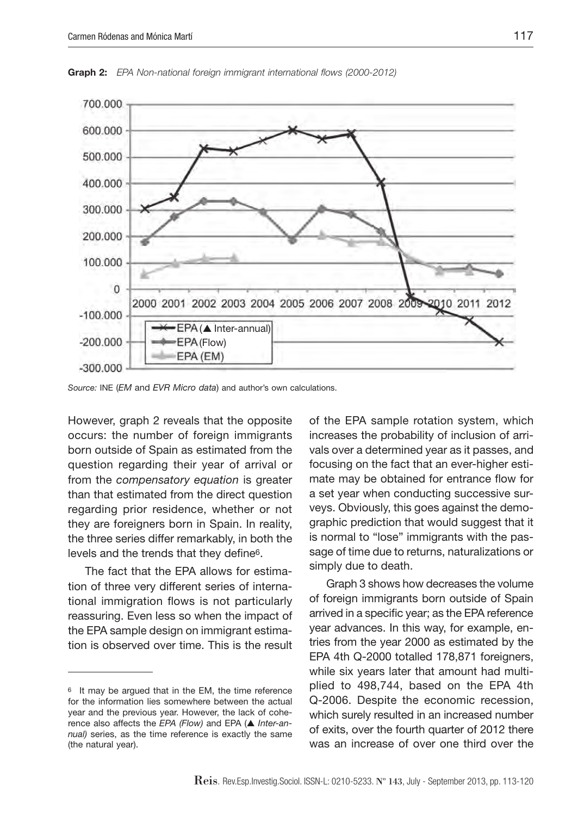

**Graph 2:** *EPA Non-national foreign immigrant international flows (2000-2012)*

*Source:* INE (*EM* and *EVR Micro data*) and author's own calculations.

However, graph 2 reveals that the opposite occurs: the number of foreign immigrants born outside of Spain as estimated from the question regarding their year of arrival or from the *compensatory equation* is greater than that estimated from the direct question regarding prior residence, whether or not they are foreigners born in Spain. In reality, the three series differ remarkably, in both the levels and the trends that they define6.

The fact that the EPA allows for estimation of three very different series of international immigration flows is not particularly reassuring. Even less so when the impact of the EPA sample design on immigrant estimation is observed over time. This is the result

of the EPA sample rotation system, which increases the probability of inclusion of arrivals over a determined year as it passes, and focusing on the fact that an ever-higher estimate may be obtained for entrance flow for a set year when conducting successive surveys. Obviously, this goes against the demographic prediction that would suggest that it is normal to "lose" immigrants with the passage of time due to returns, naturalizations or simply due to death.

Graph 3 shows how decreases the volume of foreign immigrants born outside of Spain arrived in a specific year; as the EPA reference year advances. In this way, for example, entries from the year 2000 as estimated by the EPA 4th Q-2000 totalled 178,871 foreigners, while six years later that amount had multiplied to 498,744, based on the EPA 4th Q-2006. Despite the economic recession, which surely resulted in an increased number of exits, over the fourth quarter of 2012 there was an increase of over one third over the

<sup>6</sup> It may be argued that in the EM, the time reference for the information lies somewhere between the actual year and the previous year. However, the lack of coherence also affects the *EPA (Flow)* and EPA (▲ *Inter-annual)* series, as the time reference is exactly the same (the natural year).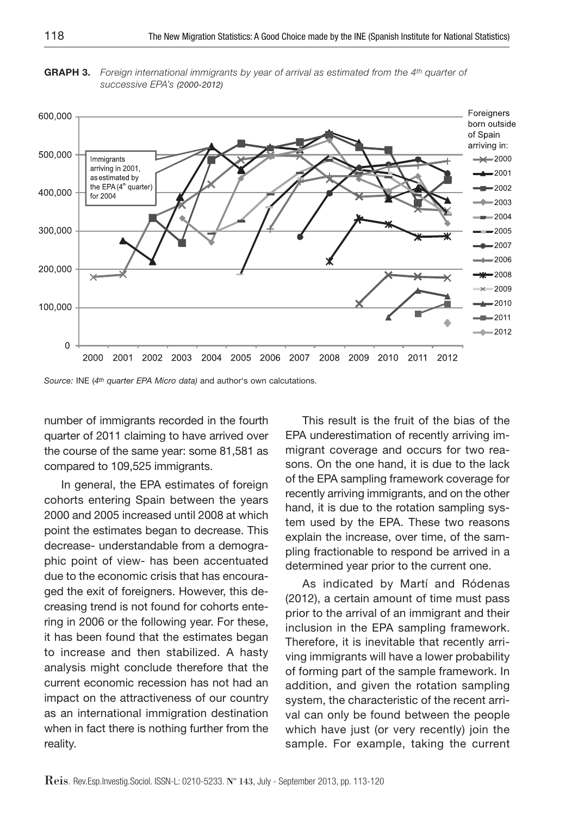**GrAPH 3.** *Foreign international immigrants by year of arrival as estimated from the 4th quarter of successive EPA's (2000-2012)*

![](_page_5_Figure_2.jpeg)

*Source:* INE (*4th quarter EPA Micro data)* and author's own calcutations.

number of immigrants recorded in the fourth quarter of 2011 claiming to have arrived over the course of the same year: some 81,581 as compared to 109,525 immigrants.

In general, the EPA estimates of foreign cohorts entering Spain between the years 2000 and 2005 increased until 2008 at which point the estimates began to decrease. This decrease- understandable from a demographic point of view- has been accentuated due to the economic crisis that has encouraged the exit of foreigners. However, this decreasing trend is not found for cohorts entering in 2006 or the following year. For these, it has been found that the estimates began to increase and then stabilized. A hasty analysis might conclude therefore that the current economic recession has not had an impact on the attractiveness of our country as an international immigration destination when in fact there is nothing further from the reality.

This result is the fruit of the bias of the EPA underestimation of recently arriving immigrant coverage and occurs for two reasons. On the one hand, it is due to the lack of the EPA sampling framework coverage for recently arriving immigrants, and on the other hand, it is due to the rotation sampling system used by the EPA. These two reasons explain the increase, over time, of the sampling fractionable to respond be arrived in a determined year prior to the current one.

As indicated by Martí and Ródenas (2012), a certain amount of time must pass prior to the arrival of an immigrant and their inclusion in the EPA sampling framework. Therefore, it is inevitable that recently arriving immigrants will have a lower probability of forming part of the sample framework. In addition, and given the rotation sampling system, the characteristic of the recent arrival can only be found between the people which have just (or very recently) join the sample. For example, taking the current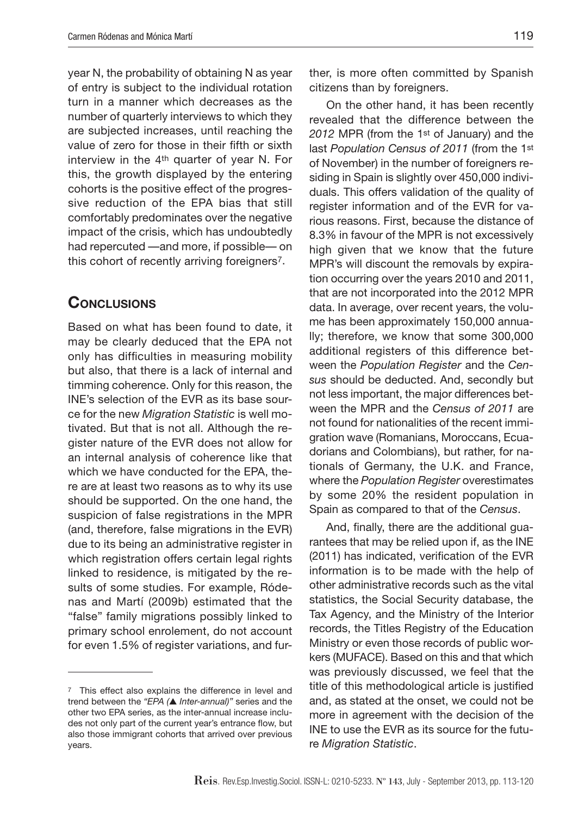year N, the probability of obtaining N as year of entry is subject to the individual rotation turn in a manner which decreases as the number of quarterly interviews to which they are subjected increases, until reaching the value of zero for those in their fifth or sixth interview in the 4th quarter of year N. For this, the growth displayed by the entering cohorts is the positive effect of the progressive reduction of the EPA bias that still comfortably predominates over the negative impact of the crisis, which has undoubtedly had repercuted —and more, if possible— on this cohort of recently arriving foreigners7.

## **Conclusions**

Based on what has been found to date, it may be clearly deduced that the EPA not only has difficulties in measuring mobility but also, that there is a lack of internal and timming coherence. Only for this reason, the INE's selection of the EVR as its base source for the new *Migration Statistic* is well motivated. But that is not all. Although the register nature of the EVR does not allow for an internal analysis of coherence like that which we have conducted for the EPA, there are at least two reasons as to why its use should be supported. On the one hand, the suspicion of false registrations in the MPR (and, therefore, false migrations in the EVR) due to its being an administrative register in which registration offers certain legal rights linked to residence, is mitigated by the results of some studies. For example, Ródenas and Martí (2009b) estimated that the "false" family migrations possibly linked to primary school enrolement, do not account for even 1.5% of register variations, and further, is more often committed by Spanish citizens than by foreigners.

On the other hand, it has been recently revealed that the difference between the *2012* MPR (from the 1st of January) and the last *Population Census of 2011* (from the 1st of November) in the number of foreigners residing in Spain is slightly over 450,000 individuals. This offers validation of the quality of register information and of the EVR for various reasons. First, because the distance of 8.3% in favour of the MPR is not excessively high given that we know that the future MPR's will discount the removals by expiration occurring over the years 2010 and 2011, that are not incorporated into the 2012 MPR data. In average, over recent years, the volume has been approximately 150,000 annually; therefore, we know that some 300,000 additional registers of this difference between the *Population Register* and the *Census* should be deducted. And, secondly but not less important, the major differences between the MPR and the *Census of 2011* are not found for nationalities of the recent immigration wave (Romanians, Moroccans, Ecuadorians and Colombians), but rather, for nationals of Germany, the U.K. and France, where the *Population Register* overestimates by some 20% the resident population in Spain as compared to that of the *Census*.

And, finally, there are the additional guarantees that may be relied upon if, as the INE (2011) has indicated, verification of the EVR information is to be made with the help of other administrative records such as the vital statistics, the Social Security database, the Tax Agency, and the Ministry of the Interior records, the Titles Registry of the Education Ministry or even those records of public workers (MUFACE). Based on this and that which was previously discussed, we feel that the title of this methodological article is justified and, as stated at the onset, we could not be more in agreement with the decision of the INE to use the EVR as its source for the future *Migration Statistic*.

<sup>7</sup> This effect also explains the difference in level and trend between the *"EPA (*▲ *Inter-annual)"* series and the other two EPA series, as the inter-annual increase includes not only part of the current year's entrance flow, but also those immigrant cohorts that arrived over previous years.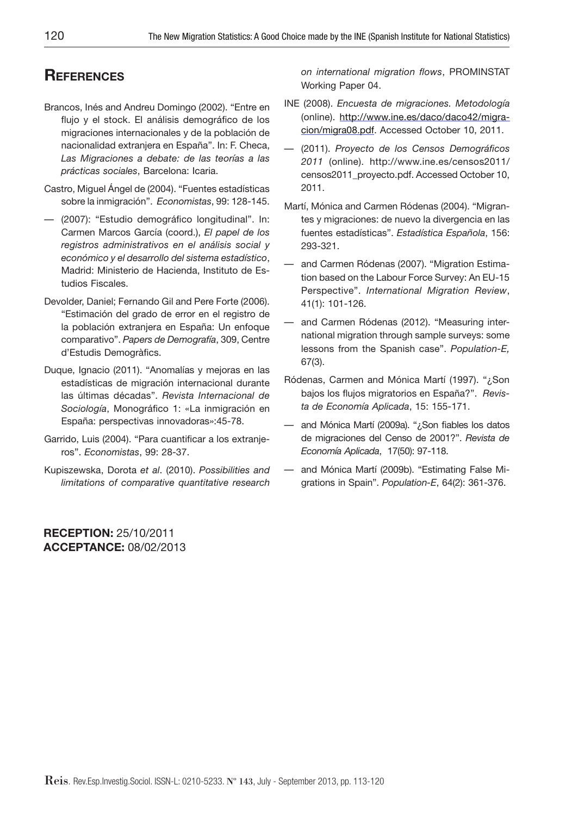# **References**

- Brancos, Inés and Andreu Domingo (2002). "Entre en flujo y el stock. El análisis demográfico de los migraciones internacionales y de la población de nacionalidad extranjera en España". In: F. Checa, *Las Migraciones a debate: de las teorías a las prácticas sociales*, Barcelona: Icaria.
- Castro, Miguel Ángel de (2004). "Fuentes estadísticas sobre la inmigración". *Economistas*, 99: 128-145.
- (2007): "Estudio demográfico longitudinal". In: Carmen Marcos García (coord.), *El papel de los registros administrativos en el análisis social y económico y el desarrollo del sistema estadístico*, Madrid: Ministerio de Hacienda, Instituto de Estudios Fiscales.
- Devolder, Daniel; Fernando Gil and Pere Forte (2006). "Estimación del grado de error en el registro de la población extranjera en España: Un enfoque comparativo". *Papers de Demografía*, 309, Centre d'Estudis Demogràfics.
- Duque, Ignacio (2011). "Anomalías y mejoras en las estadísticas de migración internacional durante las últimas décadas". *Revista Internacional de Sociología*, Monográfico 1: «La inmigración en España: perspectivas innovadoras»:45-78.
- Garrido, Luis (2004). "Para cuantificar a los extranjeros". *Economistas*, 99: 28-37.
- Kupiszewska, Dorota *et al*. (2010). *Possibilities and limitations of comparative quantitative research*

**RECEPTION:** 25/10/2011 **ACCEPTANCE:** 08/02/2013 *on international migration flows*, PROMINSTAT Working Paper 04.

- INE (2008). *Encuesta de migraciones. Metodología* (online). http://www.ine.es/daco/daco42/migracion/migra08.pdf. Accessed October 10, 2011.
- (2011). *Proyecto de los Censos Demográficos 2011* (online). http://www.ine.es/censos2011/ censos2011\_proyecto.pdf. Accessed October 10, 2011.
- Martí, Mónica and Carmen Ródenas (2004). "Migrantes y migraciones: de nuevo la divergencia en las fuentes estadísticas". *Estadística Española*, 156: 293-321.
- and Carmen Ródenas (2007). "Migration Estimation based on the Labour Force Survey: An EU-15 Perspective". *International Migration Review*, 41(1): 101-126.
- and Carmen Ródenas (2012). "Measuring international migration through sample surveys: some lessons from the Spanish case". *Population-E,*  67(3).
- Ródenas, Carmen and Mónica Martí (1997). "¿Son bajos los flujos migratorios en España?". *Revista de Economía Aplicada*, 15: 155-171.
- and Mónica Martí (2009a). "¿Son fiables los datos de migraciones del Censo de 2001?". *Revista de Economía Aplicada*, 17(50): 97-118.
- and Mónica Martí (2009b). "Estimating False Migrations in Spain". *Population-E*, 64(2): 361-376.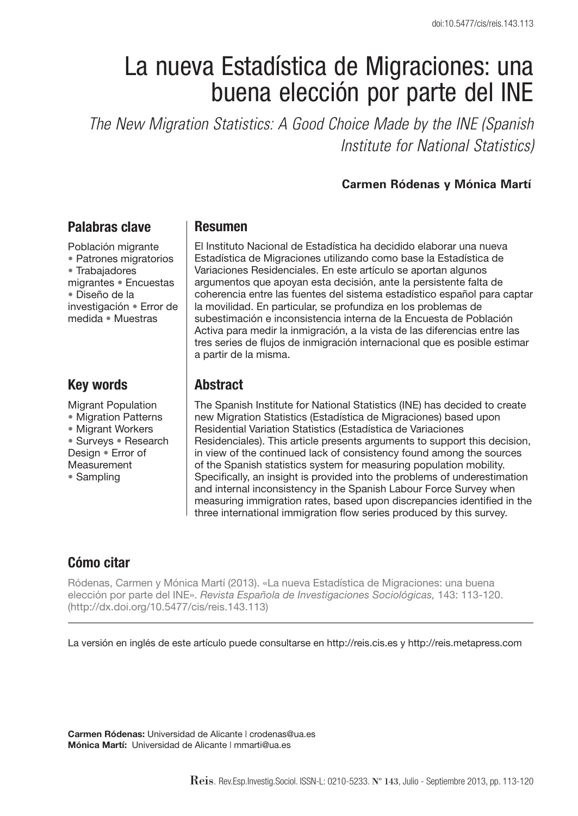# La nueva Estadística de Migraciones: una buena elección por parte del INE

*The New Migration Statistics: A Good Choice Made by the INE (Spanish Institute for National Statistics)*

#### **Carmen Ródenas y Mónica Martí**

### **Palabras clave**

Población migrante • Patrones migratorios • Trabajadores migrantes • Encuestas • Diseño de la investigación • Error de medida • Muestras

## **Key words**

- Migrant Population • Migration Patterns • Migrant Workers • Surveys • Research Design • Error of
- Measurement
- Sampling

#### **Resumen**

El Instituto Nacional de Estadística ha decidido elaborar una nueva Estadística de Migraciones utilizando como base la Estadística de Variaciones Residenciales. En este artículo se aportan algunos argumentos que apoyan esta decisión, ante la persistente falta de coherencia entre las fuentes del sistema estadístico español para captar la movilidad. En particular, se profundiza en los problemas de subestimación e inconsistencia interna de la Encuesta de Población Activa para medir la inmigración, a la vista de las diferencias entre las tres series de flujos de inmigración internacional que es posible estimar a partir de la misma.

## **Abstract**

The Spanish Institute for National Statistics (INE) has decided to create new Migration Statistics (Estadística de Migraciones) based upon Residential Variation Statistics (Estadística de Variaciones Residenciales). This article presents arguments to support this decision, in view of the continued lack of consistency found among the sources of the Spanish statistics system for measuring population mobility. Specifically, an insight is provided into the problems of underestimation and internal inconsistency in the Spanish Labour Force Survey when measuring immigration rates, based upon discrepancies identified in the three international immigration flow series produced by this survey.

# **Cómo citar**

Ródenas, Carmen y Mónica Martí (2013). «La nueva Estadística de Migraciones: una buena elección por parte del INE». *Revista Española de Investigaciones Sociológicas,* 143: 113-120. (http://dx.doi.org/10.5477/cis/reis.143.113)

La versión en inglés de este artículo puede consultarse en http://reis.cis.es y http://reis.metapress.com

**Carmen Ródenas:** Universidad de Alicante | crodenas@ua.es **Mónica Martí:** Universidad de Alicante | mmarti@ua.es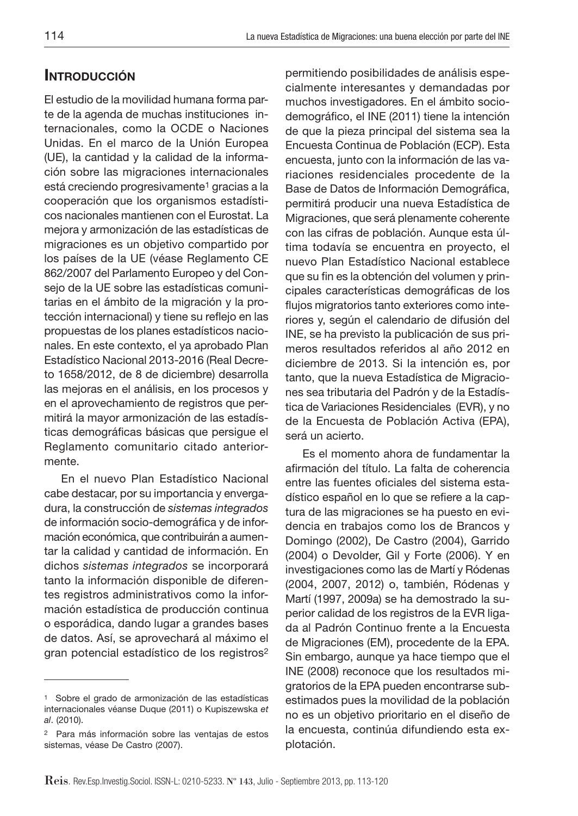# **INTRODUCCIÓN**

El estudio de la movilidad humana forma parte de la agenda de muchas instituciones internacionales, como la OCDE o Naciones Unidas. En el marco de la Unión Europea (UE), la cantidad y la calidad de la información sobre las migraciones internacionales está creciendo progresivamente<sup>1</sup> gracias a la cooperación que los organismos estadísticos nacionales mantienen con el Eurostat. La mejora y armonización de las estadísticas de migraciones es un objetivo compartido por los países de la UE (véase Reglamento CE 862/2007 del Parlamento Europeo y del Consejo de la UE sobre las estadísticas comunitarias en el ámbito de la migración y la protección internacional) y tiene su reflejo en las propuestas de los planes estadísticos nacionales. En este contexto, el ya aprobado Plan Estadístico Nacional 2013-2016 (Real Decreto 1658/2012, de 8 de diciembre) desarrolla las mejoras en el análisis, en los procesos y en el aprovechamiento de registros que permitirá la mayor armonización de las estadísticas demográficas básicas que persigue el Reglamento comunitario citado anteriormente.

En el nuevo Plan Estadístico Nacional cabe destacar, por su importancia y envergadura, la construcción de *sistemas integrados*  de información socio-demográfica y de información económica, que contribuirán a aumentar la calidad y cantidad de información. En dichos *sistemas integrados* se incorporará tanto la información disponible de diferentes registros administrativos como la información estadística de producción continua o esporádica, dando lugar a grandes bases de datos. Así, se aprovechará al máximo el gran potencial estadístico de los registros2

permitiendo posibilidades de análisis especialmente interesantes y demandadas por muchos investigadores. En el ámbito sociodemográfico, el INE (2011) tiene la intención de que la pieza principal del sistema sea la Encuesta Continua de Población (ECP). Esta encuesta, junto con la información de las variaciones residenciales procedente de la Base de Datos de Información Demográfica, permitirá producir una nueva Estadística de Migraciones, que será plenamente coherente con las cifras de población. Aunque esta última todavía se encuentra en proyecto, el nuevo Plan Estadístico Nacional establece que su fin es la obtención del volumen y principales características demográficas de los flujos migratorios tanto exteriores como interiores y, según el calendario de difusión del INE, se ha previsto la publicación de sus primeros resultados referidos al año 2012 en diciembre de 2013. Si la intención es, por tanto, que la nueva Estadística de Migraciones sea tributaria del Padrón y de la Estadística de Variaciones Residenciales (EVR), y no de la Encuesta de Población Activa (EPA), será un acierto.

Es el momento ahora de fundamentar la afirmación del título. La falta de coherencia entre las fuentes oficiales del sistema estadístico español en lo que se refiere a la captura de las migraciones se ha puesto en evidencia en trabajos como los de Brancos y Domingo (2002), De Castro (2004), Garrido (2004) o Devolder, Gil y Forte (2006). Y en investigaciones como las de Martí y Ródenas (2004, 2007, 2012) o, también, Ródenas y Martí (1997, 2009a) se ha demostrado la superior calidad de los registros de la EVR ligada al Padrón Continuo frente a la Encuesta de Migraciones (EM), procedente de la EPA. Sin embargo, aunque ya hace tiempo que el INE (2008) reconoce que los resultados migratorios de la EPA pueden encontrarse subestimados pues la movilidad de la población no es un objetivo prioritario en el diseño de la encuesta, continúa difundiendo esta explotación.

<sup>1</sup> Sobre el grado de armonización de las estadísticas internacionales véanse Duque (2011) o Kupiszewska *et al*. (2010).

<sup>2</sup> Para más información sobre las ventajas de estos sistemas, véase De Castro (2007).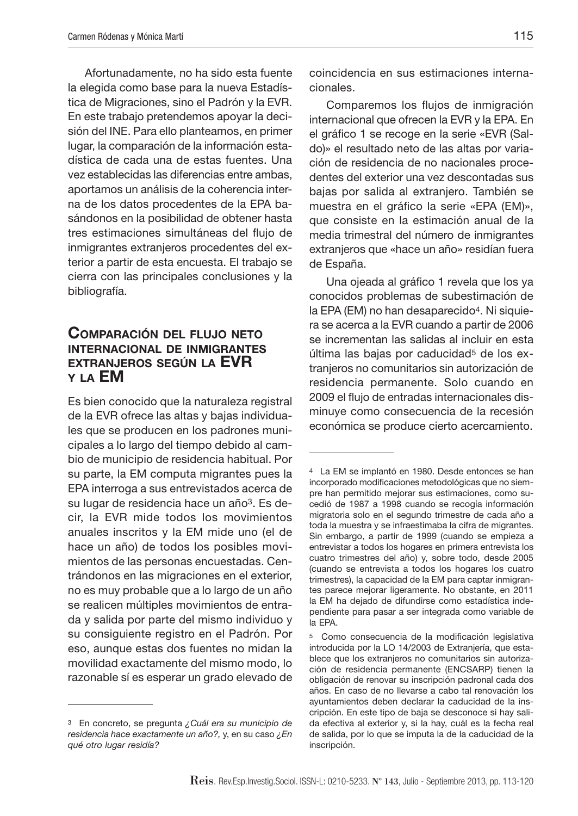Afortunadamente, no ha sido esta fuente la elegida como base para la nueva Estadística de Migraciones, sino el Padrón y la EVR. En este trabajo pretendemos apoyar la decisión del INE. Para ello planteamos, en primer lugar, la comparación de la información estadística de cada una de estas fuentes. Una vez establecidas las diferencias entre ambas, aportamos un análisis de la coherencia interna de los datos procedentes de la EPA basándonos en la posibilidad de obtener hasta tres estimaciones simultáneas del flujo de inmigrantes extranjeros procedentes del exterior a partir de esta encuesta. El trabajo se cierra con las principales conclusiones y la bibliografía.

#### **Comparación del flujo neto internacional de inmigrantes extranjeros según la EVR y la EM**

Es bien conocido que la naturaleza registral de la EVR ofrece las altas y bajas individuales que se producen en los padrones municipales a lo largo del tiempo debido al cambio de municipio de residencia habitual. Por su parte, la EM computa migrantes pues la EPA interroga a sus entrevistados acerca de su lugar de residencia hace un año3. Es decir, la EVR mide todos los movimientos anuales inscritos y la EM mide uno (el de hace un año) de todos los posibles movimientos de las personas encuestadas. Centrándonos en las migraciones en el exterior, no es muy probable que a lo largo de un año se realicen múltiples movimientos de entrada y salida por parte del mismo individuo y su consiguiente registro en el Padrón. Por eso, aunque estas dos fuentes no midan la movilidad exactamente del mismo modo, lo razonable sí es esperar un grado elevado de coincidencia en sus estimaciones internacionales.

Comparemos los flujos de inmigración internacional que ofrecen la EVR y la EPA. En el gráfico 1 se recoge en la serie «EVR (Saldo)» el resultado neto de las altas por variación de residencia de no nacionales procedentes del exterior una vez descontadas sus bajas por salida al extranjero. También se muestra en el gráfico la serie «EPA (EM)», que consiste en la estimación anual de la media trimestral del número de inmigrantes extranjeros que «hace un año» residían fuera de España.

Una ojeada al gráfico 1 revela que los ya conocidos problemas de subestimación de la EPA (EM) no han desaparecido4. Ni siquiera se acerca a la EVR cuando a partir de 2006 se incrementan las salidas al incluir en esta última las bajas por caducidad<sup>5</sup> de los extranjeros no comunitarios sin autorización de residencia permanente. Solo cuando en 2009 el flujo de entradas internacionales disminuye como consecuencia de la recesión económica se produce cierto acercamiento.

<sup>3</sup> En concreto, se pregunta *¿Cuál era su municipio de residencia hace exactamente un año?,* y, en su caso *¿En qué otro lugar residía?*

<sup>4</sup> La EM se implantó en 1980. Desde entonces se han incorporado modificaciones metodológicas que no siempre han permitido mejorar sus estimaciones, como sucedió de 1987 a 1998 cuando se recogía información migratoria solo en el segundo trimestre de cada año a toda la muestra y se infraestimaba la cifra de migrantes. Sin embargo, a partir de 1999 (cuando se empieza a entrevistar a todos los hogares en primera entrevista los cuatro trimestres del año) y, sobre todo, desde 2005 (cuando se entrevista a todos los hogares los cuatro trimestres), la capacidad de la EM para captar inmigrantes parece mejorar ligeramente. No obstante, en 2011 la EM ha dejado de difundirse como estadística independiente para pasar a ser integrada como variable de la EPA.

<sup>5</sup> Como consecuencia de la modificación legislativa introducida por la LO 14/2003 de Extranjería, que establece que los extranjeros no comunitarios sin autorización de residencia permanente (ENCSARP) tienen la obligación de renovar su inscripción padronal cada dos años. En caso de no llevarse a cabo tal renovación los ayuntamientos deben declarar la caducidad de la inscripción. En este tipo de baja se desconoce si hay salida efectiva al exterior y, si la hay, cuál es la fecha real de salida, por lo que se imputa la de la caducidad de la inscripción.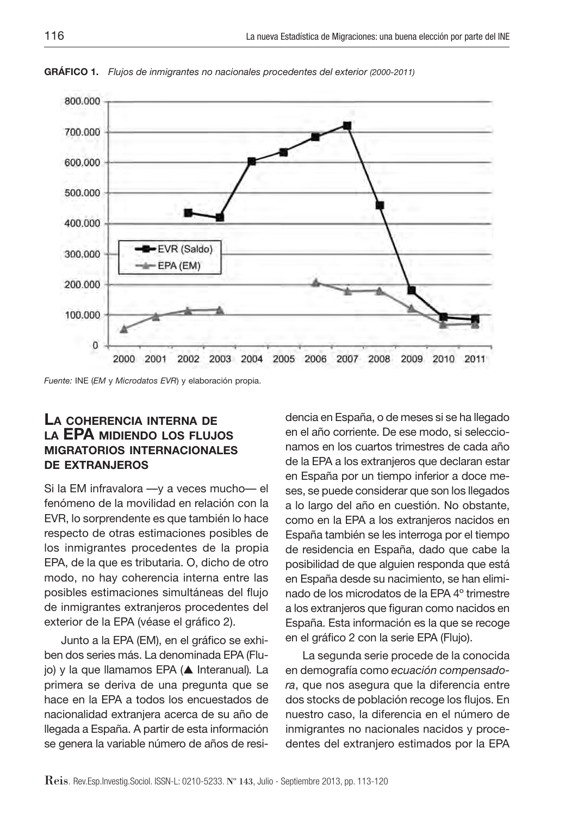![](_page_11_Figure_1.jpeg)

**GRÁFICO 1.** *Flujos de inmigrantes no nacionales procedentes del exterior (2000-2011)*

*Fuente:* INE (*EM* y *Microdatos EVR*) y elaboración propia.

#### **La coherencia interna de la EPA midiendo los flujos migratorios internacionales de extranjeros**

Si la EM infravalora —y a veces mucho— el fenómeno de la movilidad en relación con la EVR, lo sorprendente es que también lo hace respecto de otras estimaciones posibles de los inmigrantes procedentes de la propia EPA, de la que es tributaria. O, dicho de otro modo, no hay coherencia interna entre las posibles estimaciones simultáneas del flujo de inmigrantes extranjeros procedentes del exterior de la EPA (véase el gráfico 2).

Junto a la EPA (EM), en el gráfico se exhiben dos series más. La denominada EPA (Flujo) y la que llamamos EPA (▲ Interanual)*.* La primera se deriva de una pregunta que se hace en la EPA a todos los encuestados de nacionalidad extranjera acerca de su año de llegada a España. A partir de esta información se genera la variable número de años de residencia en España, o de meses si se ha llegado en el año corriente. De ese modo, si seleccionamos en los cuartos trimestres de cada año de la EPA a los extranjeros que declaran estar en España por un tiempo inferior a doce meses, se puede considerar que son los llegados a lo largo del año en cuestión. No obstante, como en la EPA a los extranjeros nacidos en España también se les interroga por el tiempo de residencia en España, dado que cabe la posibilidad de que alguien responda que está en España desde su nacimiento, se han eliminado de los microdatos de la EPA 4º trimestre a los extranjeros que figuran como nacidos en España. Esta información es la que se recoge en el gráfico 2 con la serie EPA (Flujo).

La segunda serie procede de la conocida en demografía como *ecuación compensadora*, que nos asegura que la diferencia entre dos stocks de población recoge los flujos. En nuestro caso, la diferencia en el número de inmigrantes no nacionales nacidos y procedentes del extranjero estimados por la EPA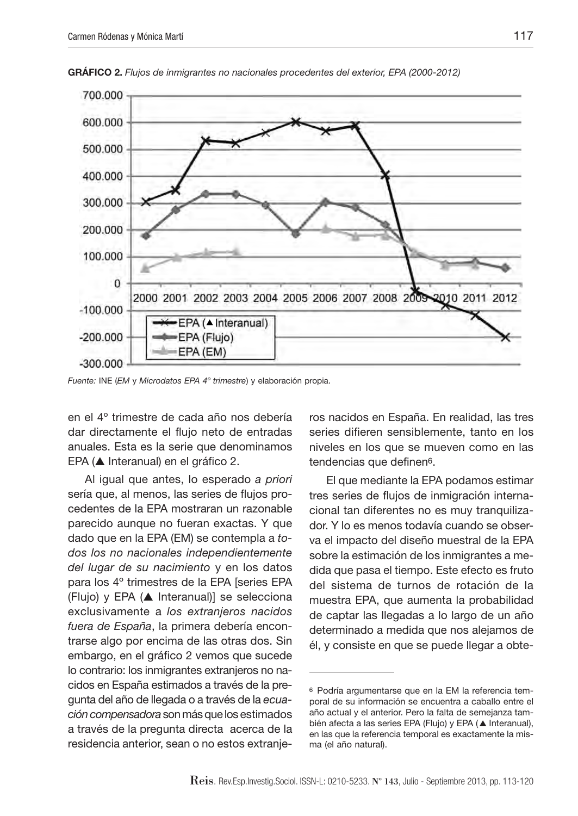![](_page_12_Figure_1.jpeg)

**GRÁFICO 2.** *Flujos de inmigrantes no nacionales procedentes del exterior, EPA (2000-2012)*

*Fuente:* INE (*EM* y *Microdatos EPA 4º trimestre*) y elaboración propia.

en el 4º trimestre de cada año nos debería dar directamente el flujo neto de entradas anuales. Esta es la serie que denominamos EPA (▲ Interanual) en el gráfico 2.

Al igual que antes, lo esperado *a priori* sería que, al menos, las series de flujos procedentes de la EPA mostraran un razonable parecido aunque no fueran exactas. Y que dado que en la EPA (EM) se contempla a *todos los no nacionales independientemente del lugar de su nacimiento* y en los datos para los 4º trimestres de la EPA [series EPA (Flujo) y EPA (▲ Interanual)] se selecciona exclusivamente a *los extranjeros nacidos fuera de España*, la primera debería encontrarse algo por encima de las otras dos. Sin embargo, en el gráfico 2 vemos que sucede lo contrario: los inmigrantes extranjeros no nacidos en España estimados a través de la pregunta del año de llegada o a través de la *ecuación compensadora* son más que los estimados a través de la pregunta directa acerca de la residencia anterior, sean o no estos extranjeros nacidos en España. En realidad, las tres series difieren sensiblemente, tanto en los niveles en los que se mueven como en las tendencias que definen6.

El que mediante la EPA podamos estimar tres series de flujos de inmigración internacional tan diferentes no es muy tranquilizador. Y lo es menos todavía cuando se observa el impacto del diseño muestral de la EPA sobre la estimación de los inmigrantes a medida que pasa el tiempo. Este efecto es fruto del sistema de turnos de rotación de la muestra EPA, que aumenta la probabilidad de captar las llegadas a lo largo de un año determinado a medida que nos alejamos de él, y consiste en que se puede llegar a obte-

<sup>6</sup> Podría argumentarse que en la EM la referencia temporal de su información se encuentra a caballo entre el año actual y el anterior. Pero la falta de semejanza también afecta a las series EPA (Flujo) y EPA (▲ Interanual), en las que la referencia temporal es exactamente la misma (el año natural).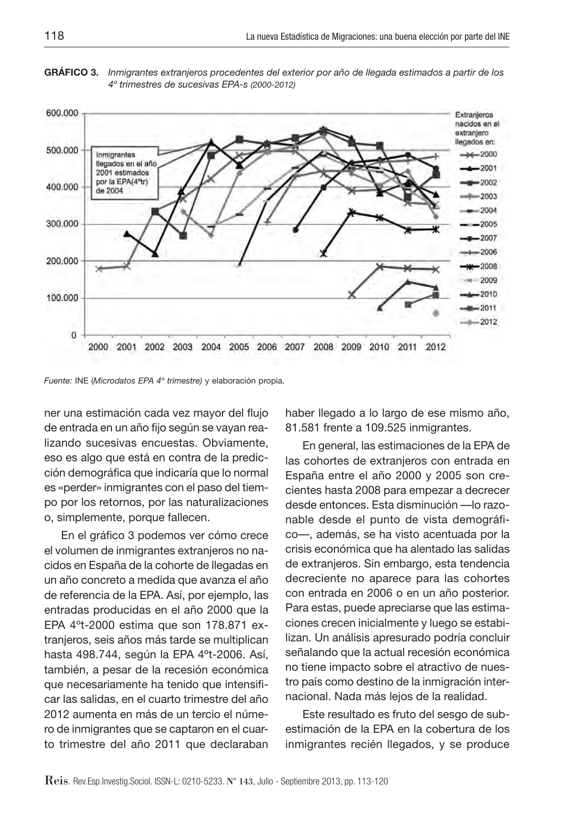**GRÁFICO 3.** *Inmigrantes extranjeros procedentes del exterior por año de llegada estimados a partir de los 4º trimestres de sucesivas EPA-s (2000-2012)*

![](_page_13_Figure_2.jpeg)

*Fuente:* INE (*Microdatos EPA 4º trimestre)* y elaboración propia.

ner una estimación cada vez mayor del flujo de entrada en un año fijo según se vayan realizando sucesivas encuestas. Obviamente, eso es algo que está en contra de la predicción demográfica que indicaría que lo normal es «perder» inmigrantes con el paso del tiempo por los retornos, por las naturalizaciones o, simplemente, porque fallecen.

En el gráfico 3 podemos ver cómo crece el volumen de inmigrantes extranjeros no nacidos en España de la cohorte de llegadas en un año concreto a medida que avanza el año de referencia de la EPA. Así, por ejemplo, las entradas producidas en el año 2000 que la EPA 4ºt-2000 estima que son 178.871 extranjeros, seis años más tarde se multiplican hasta 498.744, según la EPA 4ºt-2006. Así, también, a pesar de la recesión económica que necesariamente ha tenido que intensificar las salidas, en el cuarto trimestre del año 2012 aumenta en más de un tercio el número de inmigrantes que se captaron en el cuarto trimestre del año 2011 que declaraban haber llegado a lo largo de ese mismo año, 81.581 frente a 109.525 inmigrantes.

En general, las estimaciones de la EPA de las cohortes de extranjeros con entrada en España entre el año 2000 y 2005 son crecientes hasta 2008 para empezar a decrecer desde entonces. Esta disminución —lo razonable desde el punto de vista demográfico—, además, se ha visto acentuada por la crisis económica que ha alentado las salidas de extranjeros. Sin embargo, esta tendencia decreciente no aparece para las cohortes con entrada en 2006 o en un año posterior. Para estas, puede apreciarse que las estimaciones crecen inicialmente y luego se estabilizan. Un análisis apresurado podría concluir señalando que la actual recesión económica no tiene impacto sobre el atractivo de nuestro país como destino de la inmigración internacional. Nada más lejos de la realidad.

Este resultado es fruto del sesgo de subestimación de la EPA en la cobertura de los inmigrantes recién llegados, y se produce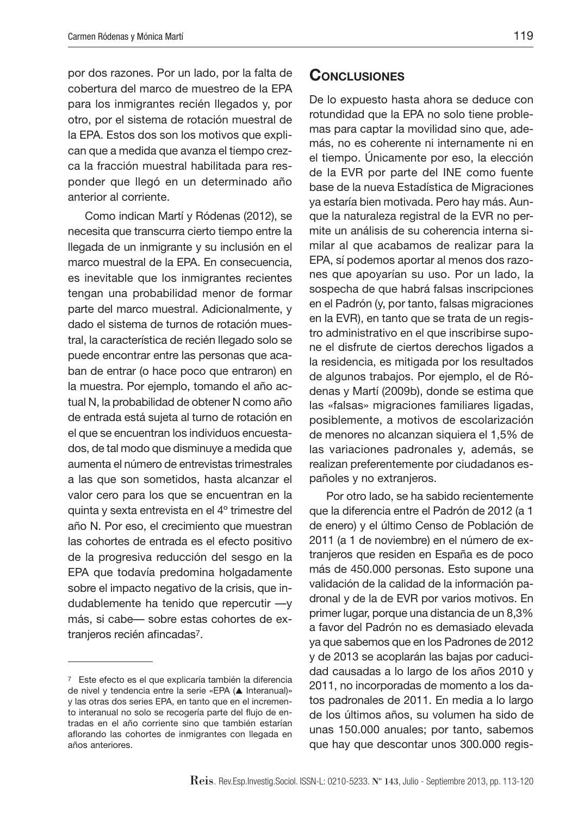por dos razones. Por un lado, por la falta de cobertura del marco de muestreo de la EPA para los inmigrantes recién llegados y, por otro, por el sistema de rotación muestral de la EPA. Estos dos son los motivos que explican que a medida que avanza el tiempo crezca la fracción muestral habilitada para responder que llegó en un determinado año anterior al corriente.

Como indican Martí y Ródenas (2012), se necesita que transcurra cierto tiempo entre la llegada de un inmigrante y su inclusión en el marco muestral de la EPA. En consecuencia, es inevitable que los inmigrantes recientes tengan una probabilidad menor de formar parte del marco muestral. Adicionalmente, y dado el sistema de turnos de rotación muestral, la característica de recién llegado solo se puede encontrar entre las personas que acaban de entrar (o hace poco que entraron) en la muestra. Por ejemplo, tomando el año actual N, la probabilidad de obtener N como año de entrada está sujeta al turno de rotación en el que se encuentran los individuos encuestados, de tal modo que disminuye a medida que aumenta el número de entrevistas trimestrales a las que son sometidos, hasta alcanzar el valor cero para los que se encuentran en la quinta y sexta entrevista en el 4º trimestre del año N. Por eso, el crecimiento que muestran las cohortes de entrada es el efecto positivo de la progresiva reducción del sesgo en la EPA que todavía predomina holgadamente sobre el impacto negativo de la crisis, que indudablemente ha tenido que repercutir —y más, si cabe— sobre estas cohortes de extranjeros recién afincadas7.

#### **Conclusiones**

De lo expuesto hasta ahora se deduce con rotundidad que la EPA no solo tiene problemas para captar la movilidad sino que, además, no es coherente ni internamente ni en el tiempo. Únicamente por eso, la elección de la EVR por parte del INE como fuente base de la nueva Estadística de Migraciones ya estaría bien motivada. Pero hay más. Aunque la naturaleza registral de la EVR no permite un análisis de su coherencia interna similar al que acabamos de realizar para la EPA, sí podemos aportar al menos dos razones que apoyarían su uso. Por un lado, la sospecha de que habrá falsas inscripciones en el Padrón (y, por tanto, falsas migraciones en la EVR), en tanto que se trata de un registro administrativo en el que inscribirse supone el disfrute de ciertos derechos ligados a la residencia, es mitigada por los resultados de algunos trabajos. Por ejemplo, el de Ródenas y Martí (2009b), donde se estima que las «falsas» migraciones familiares ligadas, posiblemente, a motivos de escolarización de menores no alcanzan siquiera el 1,5% de las variaciones padronales y, además, se realizan preferentemente por ciudadanos españoles y no extranjeros.

Por otro lado, se ha sabido recientemente que la diferencia entre el Padrón de 2012 (a 1 de enero) y el último Censo de Población de 2011 (a 1 de noviembre) en el número de extranjeros que residen en España es de poco más de 450.000 personas. Esto supone una validación de la calidad de la información padronal y de la de EVR por varios motivos. En primer lugar, porque una distancia de un 8,3% a favor del Padrón no es demasiado elevada ya que sabemos que en los Padrones de 2012 y de 2013 se acoplarán las bajas por caducidad causadas a lo largo de los años 2010 y 2011, no incorporadas de momento a los datos padronales de 2011. En media a lo largo de los últimos años, su volumen ha sido de unas 150.000 anuales; por tanto, sabemos que hay que descontar unos 300.000 regis-

<sup>7</sup> Este efecto es el que explicaría también la diferencia de nivel y tendencia entre la serie «EPA (▲ Interanual)» y las otras dos series EPA, en tanto que en el incremento interanual no solo se recogería parte del flujo de entradas en el año corriente sino que también estarían aflorando las cohortes de inmigrantes con llegada en años anteriores.